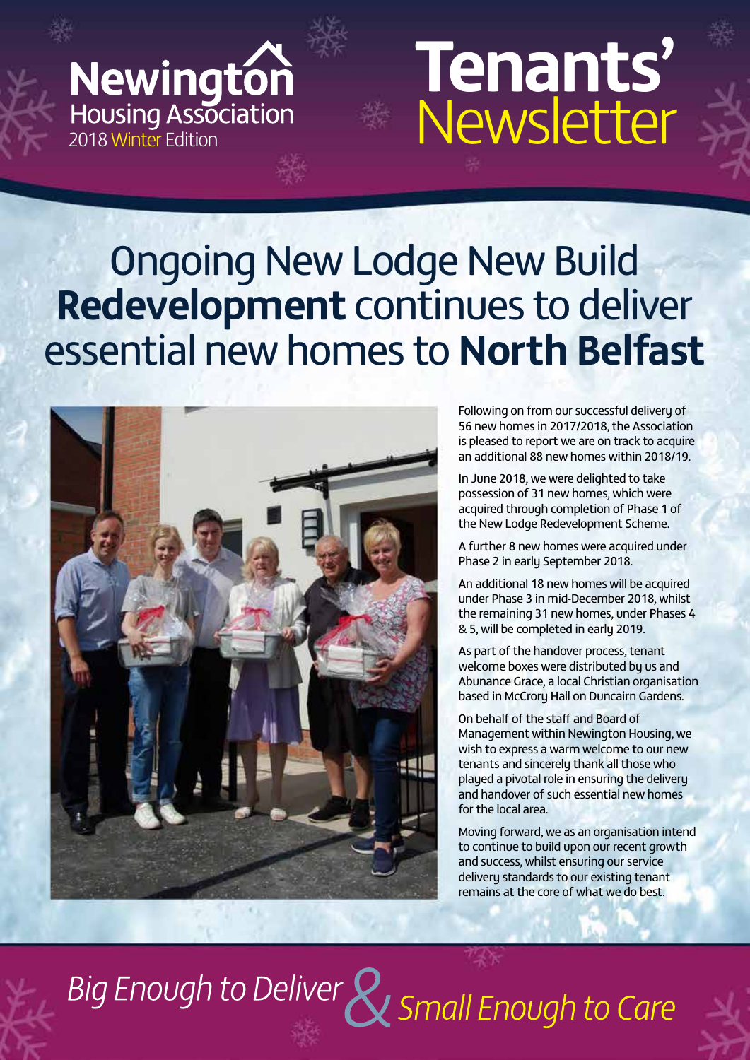

# **Tenants' Housing Association Newsletter**

# Ongoing New Lodge New Build **Redevelopment** continues to deliver essential new homes to **North Belfast**



Following on from our successful delivery of 56 new homes in 2017/2018, the Association is pleased to report we are on track to acquire an additional 88 new homes within 2018/19.

In June 2018, we were delighted to take possession of 31 new homes, which were acquired through completion of Phase 1 of the New Lodge Redevelopment Scheme.

A further 8 new homes were acquired under Phase 2 in early September 2018.

An additional 18 new homes will be acquired under Phase 3 in mid-December 2018, whilst the remaining 31 new homes, under Phases 4 & 5, will be completed in early 2019.

As part of the handover process, tenant welcome boxes were distributed by us and Abunance Grace, a local Christian organisation based in McCrory Hall on Duncairn Gardens.

On behalf of the staff and Board of Management within Newington Housing, we wish to express a warm welcome to our new tenants and sincerely thank all those who played a pivotal role in ensuring the delivery and handover of such essential new homes for the local area.

Moving forward, we as an organisation intend to continue to build upon our recent growth and success, whilst ensuring our service delivery standards to our existing tenant remains at the core of what we do best.

Big Enough to Deliver  $\&$  Small Enough to Care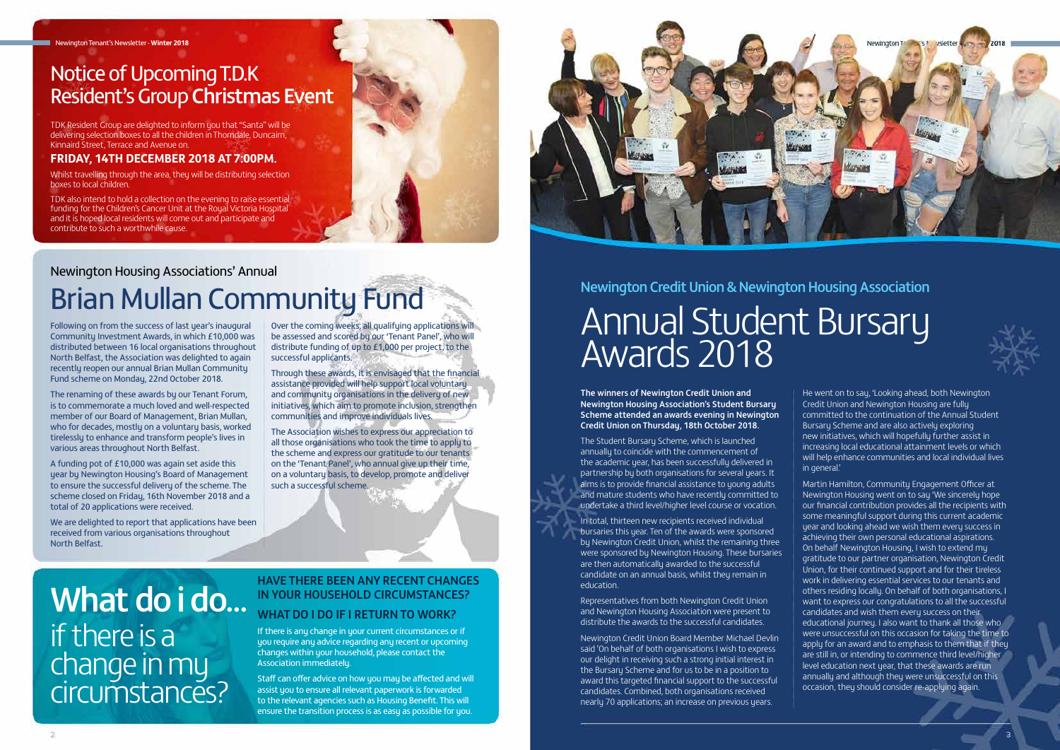# HAVE THERE BEEN ANY RECENT CHANGES IN YOUR HOUSEHOLD CIRCUMSTANCES? WHAT DO I DO IF I RETURN TO WORK?

If there is any change in your current circumstances or if you require any advice regarding any recent or upcoming changes within your household, please contact the Association immediately.

Staff can offer advice on how you may be affected and will assist you to ensure all relevant paperwork is forwarded to the relevant agencies such as Housing Benefit. This will ensure the transition process is as easy as possible for you.



# Brian Mullan Community Fund Newington Housing Associations' Annual

Following on from the success of last year's inaugural Community Investment Awards, in which £10,000 was distributed between 16 local organisations throughout North Belfast, the Association was delighted to again recently reopen our annual Brian Mullan Community Fund scheme on Monday, 22nd October 2018.

The renaming of these awards by our Tenant Forum, is to commemorate a much loved and well-respected member of our Board of Management, Brian Mullan, who for decades, mostly on a voluntary basis, worked tirelessly to enhance and transform people's lives in various areas throughout North Belfast.

A funding pot of £10,000 was again set aside this year by Newington Housing's Board of Management to ensure the successful delivery of the scheme. The scheme closed on Friday, 16th November 2018 and a total of 20 applications were received.

We are delighted to report that applications have been received from various organisations throughout North Belfast.

> Newington Credit Union Board Member Michael Devlin said 'On behalf of both organisations I wish to express our delight in receiving such a strong initial interest in the Bursary Scheme and for us to be in a position to award this targeted financial support to the successful candidates. Combined, both organisations received nearly 70 applications; an increase on previous years.



Over the coming weeks, all qualifying applications will be assessed and scored by our 'Tenant Panel', who will distribute funding of up to £1,000 per project, to the successful applicants.

Through these awards, it is envisaged that the financial assistance provided will help support local voluntary and community organisations in the delivery of new initiatives, which aim to promote inclusion, strengthen communities and improve individuals lives.

The Association wishes to express our appreciation to all those organisations who took the time to apply to the scheme and express our gratitude to our tenants on the 'Tenant Panel', who annual give up their time, on a voluntary basis, to develop, promote and deliver such a successful scheme.

# if there is a change in my circumstances? What do i do...

The winners of Newington Credit Union and Newington Housing Association's Student Bursary Scheme attended an awards evening in Newington Credit Union on Thursday, 18th October 2018.

# Notice of Upcoming T.D.K Resident's Group Christmas Event

The Student Bursary Scheme, which is launched annually to coincide with the commencement of the academic year, has been successfully delivered in partnership by both organisations for several years. It aims is to provide financial assistance to young adults and mature students who have recently committed to undertake a third level/higher level course or vocation.

In total, thirteen new recipients received individual bursaries this year. Ten of the awards were sponsored by Newington Credit Union, whilst the remaining three were sponsored by Newington Housing. These bursaries are then automatically awarded to the successful candidate on an annual basis, whilst they remain in education.

Representatives from both Newington Credit Union and Newington Housing Association were present to distribute the awards to the successful candidates.

He went on to say, 'Looking ahead, both Newington Credit Union and Newington Housing are fully committed to the continuation of the Annual Student Bursary Scheme and are also actively exploring new initiatives, which will hopefully further assist in increasing local educational attainment levels or which will help enhance communities and local individual lives in general.'

Martin Hamilton, Community Engagement Officer at Newington Housing went on to say 'We sincerely hope our financial contribution provides all the recipients with some meaningful support during this current academic year and looking ahead we wish them every success in achieving their own personal educational aspirations. On behalf Newington Housing, I wish to extend my gratitude to our partner organisation, Newington Credit Union, for their continued support and for their tireless work in delivering essential services to our tenants and others residing locally. On behalf of both organisations, I want to express our congratulations to all the successful candidates and wish them every success on their educational journey. I also want to thank all those who were unsuccessful on this occasion for taking the time to apply for an award and to emphasis to them that if they are still in, or intending to commence third level/higher level education next year, that these awards are run annually and although they were unsuccessful on this occasion, they should consider re-applying again.

Newington Credit Union & Newington Housing Association

# Annual Student Bursary Awards 2018

TDK Resident Group are delighted to inform you that "Santa" will be delivering selection boxes to all the children in Thorndale, Duncairn, Kinnaird Street, Terrace and Avenue on.

## **FRIDAY, 14TH DECEMBER 2018 AT 7:00PM.**

Whilst travelling through the area, they will be distributing selection boxes to local children.

TDK also intend to hold a collection on the evening to raise essential funding for the Children's Cancer Unit at the Royal Victoria Hospital and it is hoped local residents will come out and participate and contribute to such a worthwhile cause.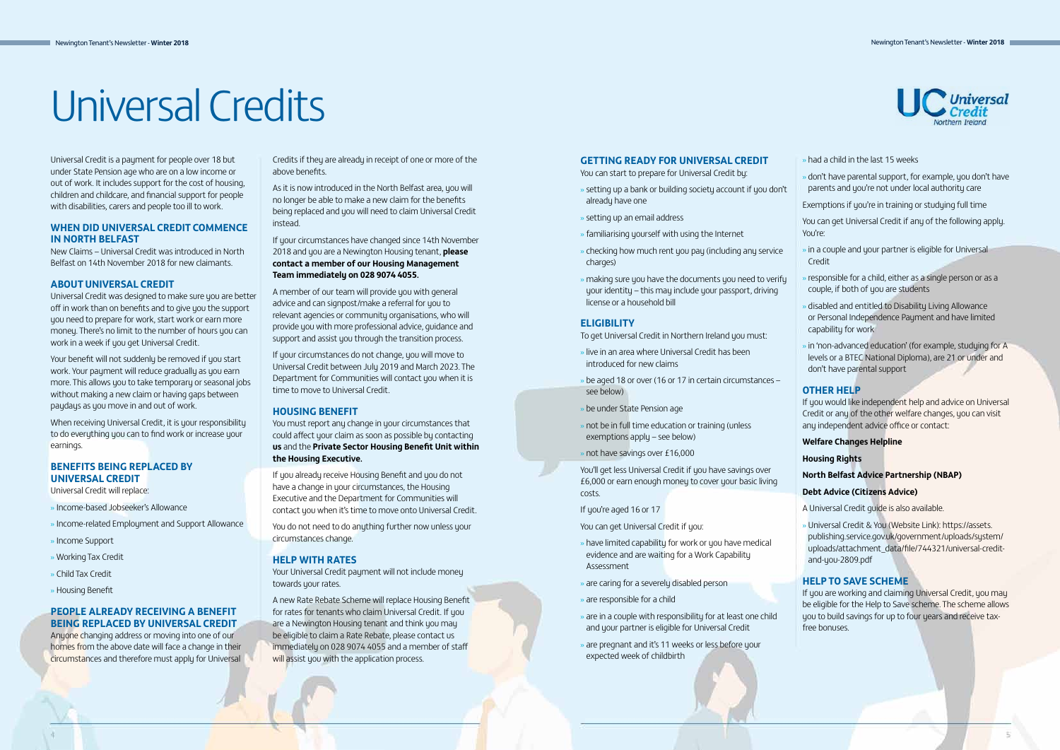Universal Credit is a payment for people over 18 but under State Pension age who are on a low income or out of work. It includes support for the cost of housing, children and childcare, and financial support for people with disabilities, carers and people too ill to work.

### **WHEN DID UNIVERSAL CREDIT COMMENCE IN NORTH BELFAST**

New Claims – Universal Credit was introduced in North Belfast on 14th November 2018 for new claimants.

### **ABOUT UNIVERSAL CREDIT**

Your benefit will not suddenly be removed if you start work. Your payment will reduce gradually as you earn more. This allows you to take temporary or seasonal jobs without making a new claim or having gaps between paydays as you move in and out of work.

Universal Credit was designed to make sure you are better off in work than on benefits and to give you the support you need to prepare for work, start work or earn more money. There's no limit to the number of hours you can work in a week if you get Universal Credit.

When receiving Universal Credit, it is your responsibility to do everything you can to find work or increase your earnings.

### **BENEFITS BEING REPLACED BY UNIVERSAL CREDIT**

Universal Credit will replace:

- » Income-based Jobseeker's Allowance
- » Income-related Employment and Support Allowance
- » Income Support
- » Working Tax Credit
- » Child Tax Credit
- » Housing Benefit

### **PEOPLE ALREADY RECEIVING A BENEFIT BEING REPLACED BY UNIVERSAL CREDIT**

Anyone changing address or moving into one of our homes from the above date will face a change in their circumstances and therefore must apply for Universal Your Universal Credit payment will not include money towards your rates.

A new Rate Rebate Scheme will replace Housing Benefit for rates for tenants who claim Universal Credit. If you are a Newington Housing tenant and think you may be eligible to claim a Rate Rebate, please contact us immediately on 028 9074 4055 and a member of staff will assist you with the application process.

Credits if they are already in receipt of one or more of the above benefits.

As it is now introduced in the North Belfast area, you will no longer be able to make a new claim for the benefits being replaced and you will need to claim Universal Credit instead.

If your circumstances have changed since 14th November 2018 and you are a Newington Housing tenant, **please contact a member of our Housing Management Team immediately on 028 9074 4055.**

A member of our team will provide you with general advice and can signpost/make a referral for you to relevant agencies or community organisations, who will provide you with more professional advice, guidance and support and assist you through the transition process.

If your circumstances do not change, you will move to Universal Credit between July 2019 and March 2023. The Department for Communities will contact you when it is time to move to Universal Credit.

### **HOUSING BENEFIT**

You must report any change in your circumstances that could affect your claim as soon as possible by contacting **us** and the **Private Sector Housing Benefit Unit within the Housing Executive.**

If you already receive Housing Benefit and you do not have a change in your circumstances, the Housing Executive and the Department for Communities will contact you when it's time to move onto Universal Credit.

You do not need to do anything further now unless your circumstances change.

### **HELP WITH RATES**

#### **GETTING READY FOR UNIVERSAL CREDIT**

You can start to prepare for Universal Credit by:

- » setting up a bank or building society account if you don't already have one
- » setting up an email address
- » familiarising yourself with using the Internet
- » checking how much rent you pay (including any service charges)
- » making sure you have the documents you need to verify your identity – this may include your passport, driving license or a household bill

#### **ELIGIBILITY**

To get Universal Credit in Northern Ireland you must:

- » live in an area where Universal Credit has been introduced for new claims
- » be aged 18 or over (16 or 17 in certain circumstances see below)
- » be under State Pension age
- » not be in full time education or training (unless exemptions apply – see below)
- » not have savings over £16,000

You'll get less Universal Credit if you have savings over £6,000 or earn enough money to cover your basic living costs.

If you're aged 16 or 17

You can get Universal Credit if you:

- » have limited capability for work or you have medical evidence and are waiting for a Work Capability Assessment
- » are caring for a severely disabled person
- » are responsible for a child
- » are in a couple with responsibility for at least one child and your partner is eligible for Universal Credit
- » are pregnant and it's 11 weeks or less before your expected week of childbirth
- » had a child in the last 15 weeks
- » don't have parental support, for example, you don't have parents and you're not under local authority care
- Exemptions if you're in training or studying full time
- You can get Universal Credit if any of the following apply. You're:
- » in a couple and your partner is eligible for Universal Credit
- » responsible for a child, either as a single person or as a couple, if both of you are students
- » disabled and entitled to Disability Living Allowance or Personal Independence Paument and have limited capability for work
- » in 'non-advanced education' (for example, studying for A levels or a BTEC National Diploma), are 21 or under and don't have parental support

#### **OTHER HELP**

If you would like independent help and advice on Universal Credit or any of the other welfare changes, you can visit any independent advice office or contact:

#### **Welfare Changes Helpline**

#### **Housing Rights**

#### **North Belfast Advice Partnership (NBAP)**

#### **Debt Advice (Citizens Advice)**

A Universal Credit guide is also available.

» Universal Credit & You (Website Link): https://assets. publishing.service.gov.uk/government/uploads/system/ uploads/attachment\_data/file/744321/universal-creditand-you-2809.pdf

### **HELP TO SAVE SCHEME**

If you are working and claiming Universal Credit, you may be eligible for the Help to Save scheme. The scheme allows you to build savings for up to four years and receive taxfree bonuses.

# Universal Credits

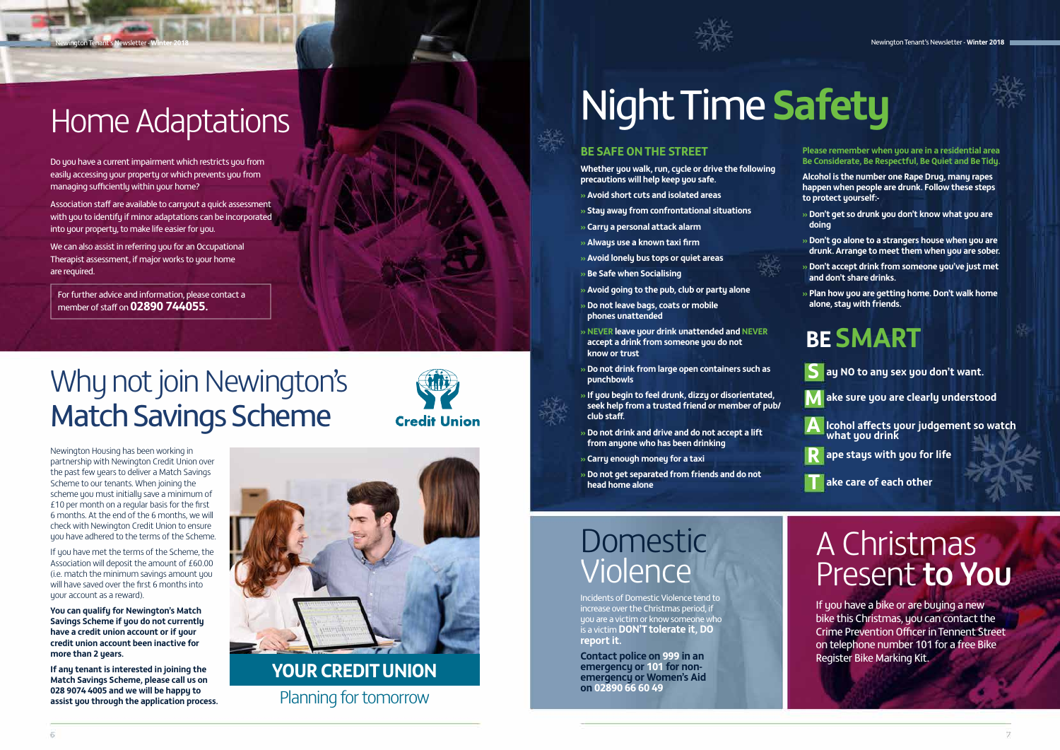Newington Tenant's Newsletter - **Winter 2018**

# Night Time **Safety**

# **BE SAFE ON THE STREET**

**Whether you walk, run, cycle or drive the following precautions will help keep you safe.**

- **» Avoid short cuts and isolated areas**
- **» Stay away from confrontational situations**
- **» Carry a personal attack alarm**
- **» Always use a known taxi firm**
- **» Avoid lonely bus tops or quiet areas**
- **» Be Safe when Socialising**
- **» Avoid going to the pub, club or party alone**
- **» Do not leave bags, coats or mobile phones unattended**
- **» NEVER leave your drink unattended and NEVER accept a drink from someone you do not know or trust**
- **» Do not drink from large open containers such as punchbowls**
- **» If you begin to feel drunk, dizzy or disorientated, seek help from a trusted friend or member of pub/ club staff.**
- **» Do not drink and drive and do not accept a lift from anyone who has been drinking**
- **» Carry enough money for a taxi**
- **» Do not get separated from friends and do not head home alone**

**Please remember when you are in a residential area Be Considerate, Be Respectful, Be Quiet and Be Tidy.**

**Alcohol is the number one Rape Drug, many rapes happen when people are drunk. Follow these steps to protect yourself:-**

If you have met the terms of the Scheme, the Association will deposit the amount of £60.00 (i.e. match the minimum savings amount you will have saved over the first 6 months into your account as a reward).

- **» Don't get so drunk you don't know what you are doing**
- **» Don't go alone to a strangers house when you are drunk. Arrange to meet them when you are sober.**
- **» Don't accept drink from someone you've just met and don't share drinks.**
- **» Plan how you are getting home. Don't walk home alone, stay with friends.**

# Domestic Violence

Incidents of Domestic Violence tend to increase over the Christmas period, if you are a victim or know someone who is a victim **DON'T tolerate it, DO report it.** 

**Contact police on 999 in an emergency or 101 for nonemergency or Women's Aid on 02890 66 60 49**

If you have a bike or are buying a new bike this Christmas, you can contact the Crime Prevention Officer in Tennent Street on telephone number 101 for a free Bike Register Bike Marking Kit.

# A Christmas Present to You

# Why not join Newington's Match Savings Scheme



Newington Housing has been working in partnership with Newington Credit Union over the past few years to deliver a Match Savings Scheme to our tenants. When joining the scheme you must initially save a minimum of £10 per month on a regular basis for the first 6 months. At the end of the 6 months, we will check with Newington Credit Union to ensure you have adhered to the terms of the Scheme.

**You can qualify for Newington's Match Savings Scheme if you do not currently have a credit union account or if your credit union account been inactive for more than 2 years.**

**If any tenant is interested in joining the Match Savings Scheme, please call us on 028 9074 4005 and we will be happy to assist you through the application process.**



**YOUR CREDIT UNION** Planning for tomorrow

# Home Adaptations

Do you have a current impairment which restricts you from easily accessing your property or which prevents you from managing sufficiently within your home?

Association staff are available to carryout a quick assessment with you to identify if minor adaptations can be incorporated into your property, to make life easier for you.

We can also assist in referring you for an Occupational Therapist assessment, if major works to your home are required.

For further advice and information, please contact a member of staff on **02890 744055.**

# **BE SMART**

**S ay NO to any sex you don't want.**

**M ake sure you are clearly understood**

**A lcohol affects your judgement so watch what you drink**

**R ape stays with you for life**

**T ake care of each other**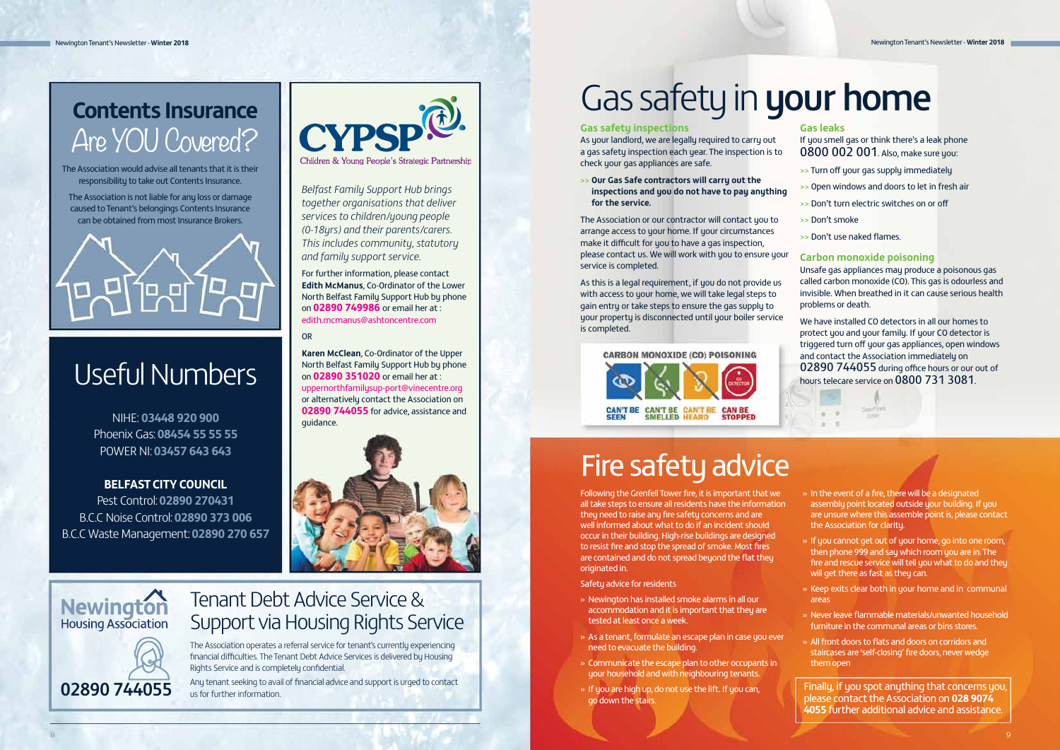*Belfast Family Support Hub brings together organisations that deliver services to children/young people (0-18yrs) and their parents/carers. This includes community, statutory and family support service.*

For further information, please contact **Edith McManus**, Co-Ordinator of the Lower North Belfast Family Support Hub by phone on **02890 749986** or email her at : edith.mcmanus@ashtoncentre.com

#### OR

**Karen McClean**, Co-Ordinator of the Upper North Belfast Family Support Hub by phone on **02890 351020** or email her at : uppernorthfamilysup-port@vinecentre.org or alternatively contact the Association on **02890 744055** for advice, assistance and guidance.



# **Newington Housing Association**

# Useful Numbers

## **Gas safety inspections**

As your landlord, we are legally required to carry out a gas safety inspection each year. The inspection is to check your gas appliances are safe.

>> **Our Gas Safe contractors will carry out the inspections and you do not have to pay anything for the service.** 

The Association or our contractor will contact you to arrange access to your home. If your circumstances make it difficult for you to have a gas inspection, please contact us. We will work with you to ensure your service is completed.

As this is a legal requirement, if you do not provide us with access to your home, we will take legal steps to gain entry or take steps to ensure the gas supply to your property is disconnected until your boiler service is completed.



#### **Gas leaks**

- If you smell gas or think there's a leak phone 0800 002 001. Also, make sure you:
- >> Turn off your gas supply immediately
- >> Open windows and doors to let in fresh air
- >> Don't turn electric switches on or off
- >> Don't smoke
- >> Don't use naked flames.

### **Carbon monoxide poisoning**

Unsafe gas appliances may produce a poisonous gas called carbon monoxide (CO). This gas is odourless and invisible. When breathed in it can cause serious health problems or death.

We have installed CO detectors in all our homes to protect you and your family. If your CO detector is triggered turn off your gas appliances, open windows and contact the Association immediately on 02890 744055 during office hours or our out of hours telecare service on 0800 731 3081.

NIHE: **03448 920 900** Phoenix Gas:**08454 55 55 55** POWER NI:**03457 643 643**

# **BELFAST CITY COUNCIL**

Pest Control:**02890 270431** B.C.C Noise Control:**02890 373 006** B.C.C Waste Management:**02890 270 657**



The Association operates a referral service for tenant's currently experiencing financial difficulties. The Tenant Debt Advice Services is delivered by Housing Rights Service and is completely confidential.

Any tenant seeking to avail of financial advice and support is urged to contact us for further information.

# Gas safety in your home

# Are YOU Covered? **Contents Insurance**

# Tenant Debt Advice Service & Support via Housing Rights Service



# Fire safety advice

Finally, if you spot anything that concerns you, please contact the Association on **028 9074 4055** further additional advice and assistance.

Following the Grenfell Tower fire, it is important that we all take steps to ensure all residents have the information they need to raise any fire safety concerns and are well informed about what to do if an incident should occur in their building. High-rise buildings are designed to resist fire and stop the spread of smoke. Most fires are contained and do not spread beyond the flat they originated in.

### Safety advice for residents

- » Newington has installed smoke alarms in all our accommodation and it is important that they are tested at least once a week.
- » As a tenant, formulate an escape plan in case you ever need to evacuate the building.
- » Communicate the escape plan to other occupants in your household and with neighbouring tenants.
- » If you are high up, do not use the lift. If you can, go down the stairs.
- » In the event of a fire, there will be a designated assembly point located outside your building. If you are unsure where this assemble point is, please contact the Association for clarity.
- » If you cannot get out of your home, go into one room, then phone 999 and say which room you are in. The fire and rescue service will tell you what to do and they will get there as fast as they can.
- » Keep exits clear both in your home and in communal areas
- » Never leave flammable materials/unwanted household furniture in the communal areas or bins stores.
- » All front doors to flats and doors on corridors and staircases are 'self-closing' fire doors, never wedge them open

The Association would advise all tenants that it is their responsibility to take out Contents Insurance.

The Association is not liable for any loss or damage caused to Tenant's belongings Contents Insurance can be obtained from most Insurance Brokers.

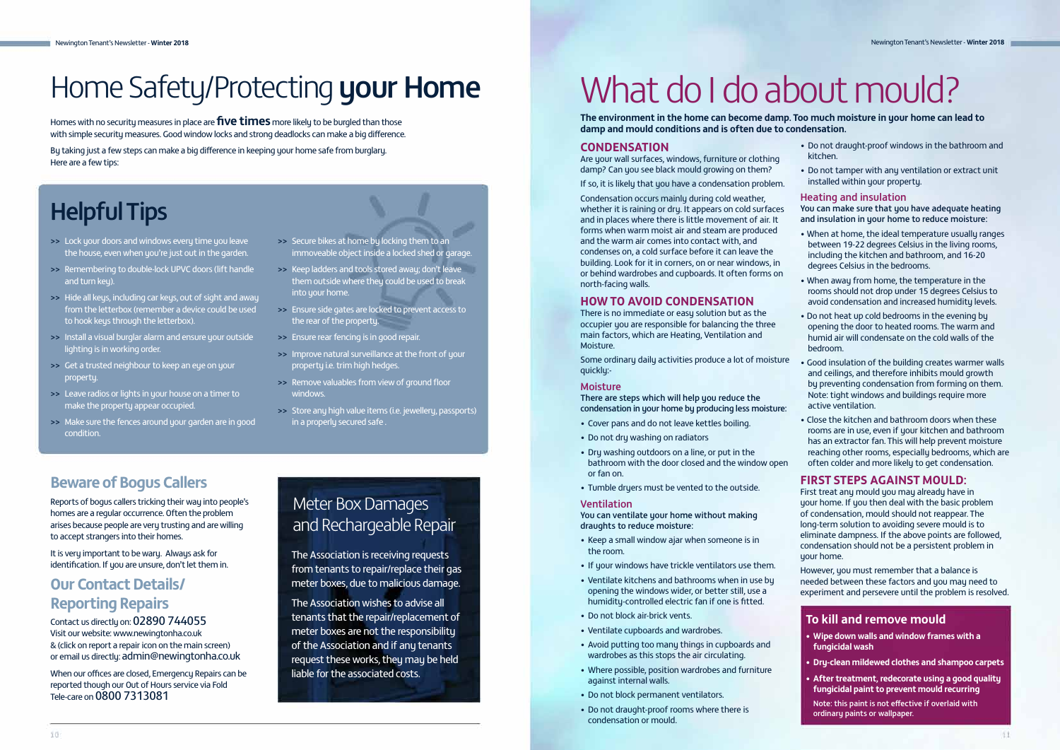# Home Safety/Protecting your Home

- >> Lock your doors and windows every time you leave the house, even when you're just out in the garden.
- >> Remembering to double-lock UPVC doors (lift handle and turn key).
- >> Hide all keys, including car keys, out of sight and away from the letterbox (remember a device could be used to hook keys through the letterbox).
- >> Install a visual burglar alarm and ensure your outside lighting is in working order.
- >> Get a trusted neighbour to keep an eye on your property.
- >> Leave radios or lights in your house on a timer to make the property appear occupied.
- >> Make sure the fences around your garden are in good condition.

## **CONDENSATION**

Are your wall surfaces, windows, furniture or clothing damp? Can you see black mould growing on them?

If so, it is likely that you have a condensation problem.

You can ventilate your home without making draughts to reduce moisture:

Condensation occurs mainly during cold weather, whether it is raining or dry. It appears on cold surfaces and in places where there is little movement of air. It forms when warm moist air and steam are produced and the warm air comes into contact with, and condenses on, a cold surface before it can leave the building. Look for it in corners, on or near windows, in or behind wardrobes and cupboards. It often forms on north-facing walls.

# **HOW TO AVOID CONDENSATION**

- Do not draught-proof windows in the bathroom and kitchen.
- Do not tamper with any ventilation or extract unit installed within your property.

There is no immediate or easy solution but as the occupier you are responsible for balancing the three main factors, which are Heating, Ventilation and Moisture.

Some ordinary daily activities produce a lot of moisture quickly:-

### Moisture

There are steps which will help you reduce the condensation in your home by producing less moisture:

- Cover pans and do not leave kettles boiling.
- Do not dry washing on radiators
- Dry washing outdoors on a line, or put in the bathroom with the door closed and the window open or fan on.
- Tumble dryers must be vented to the outside.

## Ventilation

First treat any mould you may already have in your home. If you then deal with the basic problem of condensation, mould should not reappear. The long-term solution to avoiding severe mould is to eliminate dampness. If the above points are followed, condensation should not be a persistent problem in your home.

- Keep a small window ajar when someone is in the room.
- If your windows have trickle ventilators use them.
- Ventilate kitchens and bathrooms when in use by opening the windows wider, or better still, use a humidity-controlled electric fan if one is fitted.
- Do not block air-brick vents.
- Ventilate cupboards and wardrobes.
- Avoid putting too many things in cupboards and wardrobes as this stops the air circulating.
- Where possible, position wardrobes and furniture against internal walls.
- Do not block permanent ventilators.
- Do not draught-proof rooms where there is condensation or mould.

#### Heating and insulation

You can make sure that you have adequate heating and insulation in your home to reduce moisture:

- >> Secure bikes at home by locking them to an immoveable object inside a locked shed or garage.
- >> Keep ladders and tools stored away; don't leave them outside where they could be used to break into your home.
- >> Ensure side gates are locked to prevent access to the rear of the property.
- >> Ensure rear fencing is in good repair.
- >> Improve natural surveillance at the front of your property i.e. trim high hedges.
- >> Remove valuables from view of ground floor windows.
- >> Store any high value items (i.e. jewellery, passports) in a properly secured safe .
- When at home, the ideal temperature usually ranges between 19-22 degrees Celsius in the living rooms, including the kitchen and bathroom, and 16-20 degrees Celsius in the bedrooms.
- When away from home, the temperature in the rooms should not drop under 15 degrees Celsius to avoid condensation and increased humidity levels.
- Do not heat up cold bedrooms in the evening by opening the door to heated rooms. The warm and humid air will condensate on the cold walls of the bedroom.
- Good insulation of the building creates warmer walls and ceilings, and therefore inhibits mould growth by preventing condensation from forming on them. Note: tight windows and buildings require more active ventilation.
- Close the kitchen and bathroom doors when these rooms are in use, even if your kitchen and bathroom has an extractor fan. This will help prevent moisture reaching other rooms, especially bedrooms, which are often colder and more likely to get condensation.

### **FIRST STEPS AGAINST MOULD:**

However, you must remember that a balance is needed between these factors and you may need to experiment and persevere until the problem is resolved.

Homes with no security measures in place are **five times** more likely to be burgled than those with simple security measures. Good window locks and strong deadlocks can make a big difference.

By taking just a few steps can make a big difference in keeping your home safe from burglary. Here are a few tips:

**The environment in the home can become damp. Too much moisture in your home can lead to damp and mould conditions and is often due to condensation.**

# **Beware of Bogus Callers**

Reports of bogus callers tricking their way into people's homes are a regular occurrence. Often the problem arises because people are very trusting and are willing to accept strangers into their homes.

It is very important to be wary. Always ask for identification. If you are unsure, don't let them in.

# **Our Contact Details/ Reporting Repairs**

Contact us directly on: 02890 744055 Visit our website: www.newingtonha.co.uk & (click on report a repair icon on the main screen) or email us directly: admin@newingtonha.co.uk

When our offices are closed, Emergency Repairs can be reported though our Out of Hours service via Fold Tele-care on 0800 7313081

# Helpful Tips

The Association is receiving requests from tenants to repair/replace their gas meter boxes, due to malicious damage.

The Association wishes to advise all tenants that the repair/replacement of meter boxes are not the responsibility of the Association and if any tenants request these works, they may be held liable for the associated costs.

# What do I do about mould?

# Meter Box Damages and Rechargeable Repair

# **To kill and remove mould**

- **• Wipe down walls and window frames with a fungicidal wash**
- **• Dry-clean mildewed clothes and shampoo carpets**
- **• After treatment, redecorate using a good quality fungicidal paint to prevent mould recurring**

Note: this paint is not effective if overlaid with ordinary paints or wallpaper.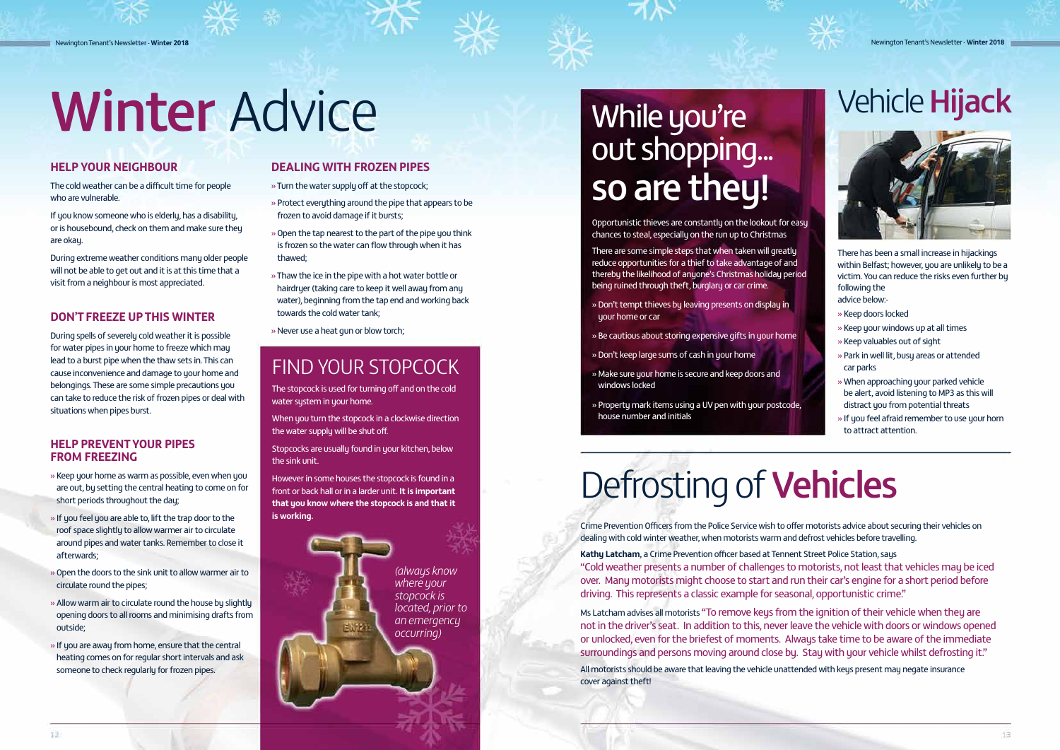# Winter Advice

## **HELP YOUR NEIGHBOUR**

The cold weather can be a difficult time for people who are vulnerable.

If you know someone who is elderly, has a disability, or is housebound, check on them and make sure they are okay.

During extreme weather conditions many older people will not be able to get out and it is at this time that a visit from a neighbour is most appreciated.

# **DON'T FREEZE UP THIS WINTER**

During spells of severely cold weather it is possible for water pipes in your home to freeze which may lead to a burst pipe when the thaw sets in. This can cause inconvenience and damage to your home and belongings. These are some simple precautions you can take to reduce the risk of frozen pipes or deal with situations when pipes burst.

## **HELP PREVENT YOUR PIPES FROM FREEZING**

- » Keep your home as warm as possible, even when you are out, by setting the central heating to come on for short periods throughout the day;
- » If you feel you are able to, lift the trap door to the roof space slightly to allow warmer air to circulate around pipes and water tanks. Remember to close it afterwards;
- » Open the doors to the sink unit to allow warmer air to circulate round the pipes;
- » Allow warm air to circulate round the house by slightly opening doors to all rooms and minimising drafts from outside;
- » If you are away from home, ensure that the central heating comes on for regular short intervals and ask someone to check regularly for frozen pipes.

## **DEALING WITH FROZEN PIPES**

- » Turn the water supply off at the stopcock;
- » Protect everything around the pipe that appears to be frozen to avoid damage if it bursts;
- » Open the tap nearest to the part of the pipe you think is frozen so the water can flow through when it has thawed;
- » Thaw the ice in the pipe with a hot water bottle or hairdruer (taking care to keep it well away from any water), beginning from the tap end and working back towards the cold water tank;
- » Never use a heat gun or blow torch;

# Vehicle Hijack



There has been a small increase in hijackings within Belfast; however, you are unlikely to be a victim. You can reduce the risks even further by following the advice below:-

» Keep doors locked

- » Keep your windows up at all times
- » Keep valuables out of sight
- » Park in well lit, busy areas or attended car parks
- » When approaching your parked vehicle be alert, avoid listening to MP3 as this will distract you from potential threats
- » If you feel afraid remember to use your horn to attract attention.

While you're

out shopping...

# so are they! Opportunistic thieves are constantly on the lookout for easy chances to steal, especially on the run up to Christmas

There are some simple steps that when taken will greatly reduce opportunities for a thief to take advantage of and thereby the likelihood of anyone's Christmas holiday period being ruined through theft, burglary or car crime.

- » Don't tempt thieves by leaving presents on display in your home or car
- » Be cautious about storing expensive gifts in your home
- » Don't keep large sums of cash in your home

- » Make sure your home is secure and keep doors and windows locked
- » Property mark items using a UV pen with your postcode, house number and initials

Crime Prevention Officers from the Police Service wish to offer motorists advice about securing their vehicles on dealing with cold winter weather, when motorists warm and defrost vehicles before travelling.

**Kathy Latcham**, a Crime Prevention officer based at Tennent Street Police Station, says "Cold weather presents a number of challenges to motorists, not least that vehicles may be iced over. Many motorists might choose to start and run their car's engine for a short period before driving. This represents a classic example for seasonal, opportunistic crime."

Ms Latcham advises all motorists "To remove keys from the ignition of their vehicle when they are not in the driver's seat. In addition to this, never leave the vehicle with doors or windows opened or unlocked, even for the briefest of moments. Always take time to be aware of the immediate surroundings and persons moving around close by. Stay with your vehicle whilst defrosting it."

All motorists should be aware that leaving the vehicle unattended with keys present may negate insurance cover against theft!

# Defrosting of Vehicles

*(always know where your stopcock is located, prior to an emergency occurring)*

# FIND YOUR STOPCOCK

The stopcock is used for turning off and on the cold water system in your home.

When you turn the stopcock in a clockwise direction the water supply will be shut off.

Stopcocks are usually found in your kitchen, below the sink unit.

However in some houses the stopcock is found in a front or back hall or in a larder unit. **It is important that you know where the stopcock is and that it is working.**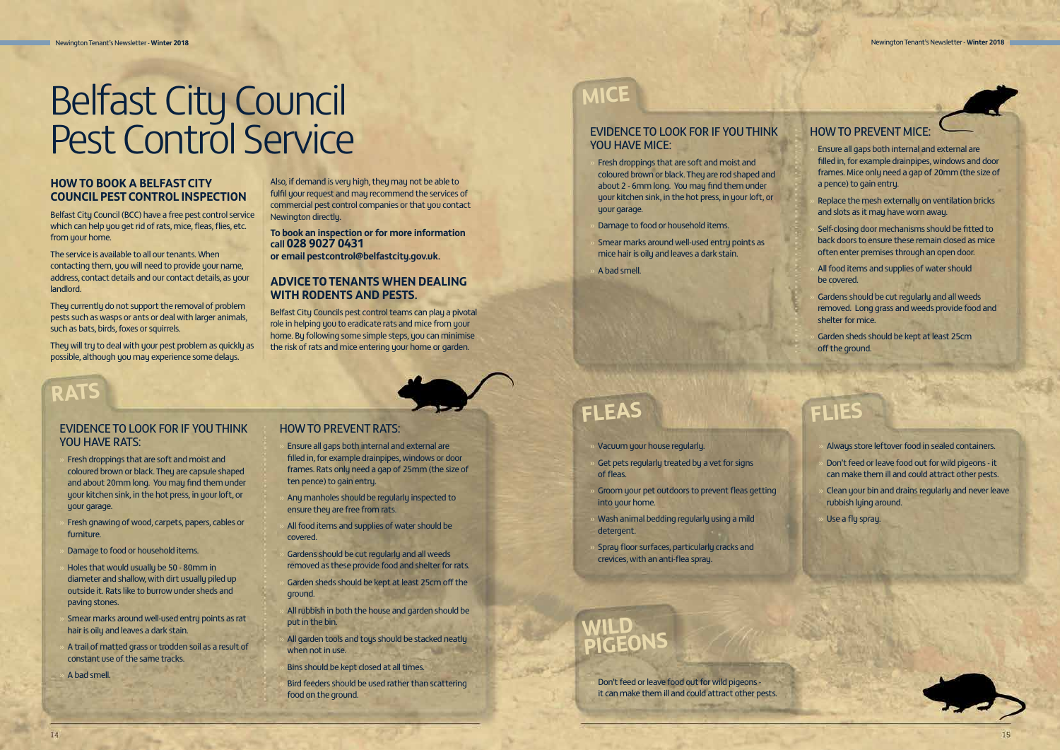# **HOW TO BOOK A BELFAST CITY COUNCIL PEST CONTROL INSPECTION**

Belfast City Council (BCC) have a free pest control service which can help you get rid of rats, mice, fleas, flies, etc. from your home.

They currently do not support the removal of problem pests such as wasps or ants or deal with larger animals, such as bats, birds, foxes or squirrels.

The service is available to all our tenants. When contacting them, you will need to provide your name, address, contact details and our contact details, as your landlord.

Also, if demand is very high, they may not be able to fulfil your request and may recommend the services of commercial pest control companies or that you contact Newington directly.

They will try to deal with your pest problem as quickly as possible, although you may experience some delays.

**To book an inspection or for more information call 028 9027 0431 or email pestcontrol@belfastcity.gov.uk.** 

# **ADVICE TO TENANTS WHEN DEALING WITH RODENTS AND PESTS.**

Belfast City Councils pest control teams can play a pivotal role in helping you to eradicate rats and mice from your home. By following some simple steps, you can minimise the risk of rats and mice entering your home or garden.

- » Always store leftover food in sealed containers.
- » Don't feed or leave food out for wild pigeons it can make them ill and could attract other pests.
- » Clean your bin and drains regularly and never leave rubbish luing around.
- Use a fly spray.

# Belfast City Council Pest Control Service

# **RATS**

# **FLEAS**

# **WILD PIGEONS**

# **FLIES**

# HOW TO PREVENT MICE:

## EVIDENCE TO LOOK FOR IF YOU THINK YOU HAVE RATS:

- » Ensure all gaps both internal and external are filled in, for example drainpipes, windows and door frames. Mice only need a gap of 20mm (the size of a pence) to gain entry.
- » Replace the mesh externally on ventilation bricks and slots as it may have worn away.
- » Self-closing door mechanisms should be fitted to back doors to ensure these remain closed as mice often enter premises through an open door.
- » All food items and supplies of water should be covered.
- Gardens should be cut regularly and all weeds removed. Long grass and weeds provide food and shelter for mice.
- » Garden sheds should be kept at least 25cm off the ground.

All food items and supplies of water should be covered.

Gardens should be cut regularly and all weeds removed as these provide food and shelter for rats.

- » Vacuum your house regularly.
- Get pets regularly treated by a vet for signs of fleas.
- » Groom your pet outdoors to prevent fleas getting into your home.
- » Wash animal bedding regularly using a mild detergent.
- » Spray floor surfaces, particularly cracks and crevices, with an anti-flea spray.

All garden tools and toys should be stacked neatly when not in use.

Bins should be kept closed at all times.

» Don't feed or leave food out for wild pigeons it can make them ill and could attract other pests.

# EVIDENCE TO LOOK FOR IF YOU THINK YOU HAVE MICE:

- » Fresh droppings that are soft and moist and coloured brown or black. They are rod shaped and about 2 - 6mm long. You may find them under your kitchen sink, in the hot press, in your loft, or your garage.
- » Damage to food or household items.
- » Smear marks around well-used entry points as mice hair is oily and leaves a dark stain.
- » A bad smell.

- » Fresh droppings that are soft and moist and coloured brown or black. They are capsule shaped and about 20mm long. You may find them under your kitchen sink, in the hot press, in your loft, or your garage.
- » Fresh gnawing of wood, carpets, papers, cables or furniture.
- » Damage to food or household items.
- » Holes that would usually be 50 80mm in diameter and shallow, with dirt usually piled up outside it. Rats like to burrow under sheds and paving stones.
- » Smear marks around well-used entry points as rat hair is oily and leaves a dark stain.
- » A trail of matted grass or trodden soil as a result of constant use of the same tracks.

» A bad smell.

## HOW TO PREVENT RATS:

» Ensure all gaps both internal and external are filled in, for example drainpipes, windows or door frames. Rats only need a gap of 25mm (the size of ten pence) to gain entry.

» Any manholes should be regularly inspected to ensure they are free from rats.

» Garden sheds should be kept at least 25cm off the ground.

» All rubbish in both the house and garden should be put in the bin.

» Bird feeders should be used rather than scattering food on the ground.

# **MIC**